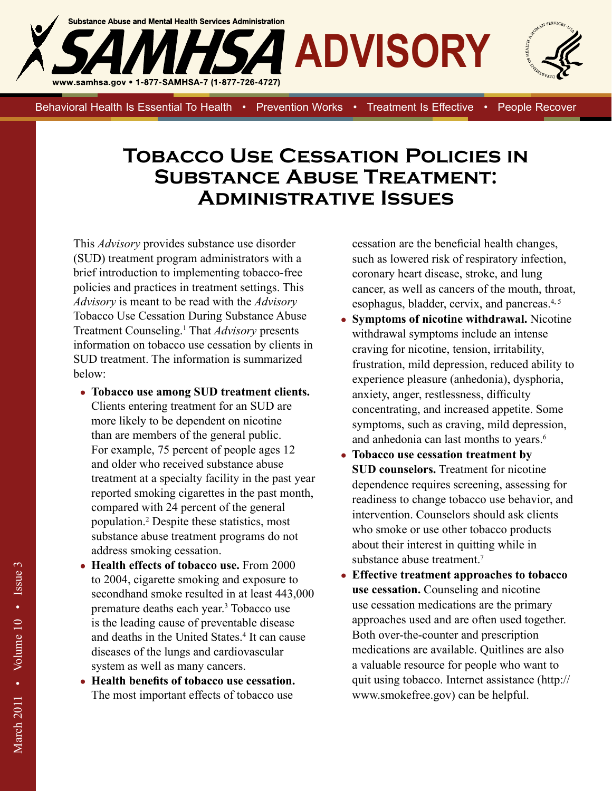

Behavioral Health Is Essential To Health • Prevention Works • Treatment Is Effective • People Recover

## **Tobacco Use Cessation Policies in Substance Abuse Treatment: Administrative Issues**

This *Advisory* provides substance use disorder (SUD) treatment program administrators with a brief introduction to implementing tobacco-free policies and practices in treatment settings. This *Advisory* is meant to be read with the *Advisory*  Tobacco Use Cessation During Substance Abuse Treatment Counseling.<sup>1</sup>That *Advisory* presents information on tobacco use cessation by clients in SUD treatment. The information is summarized below:

- **Tobacco use among SUD treatment clients.**  Clients entering treatment for an SUD are more likely to be dependent on nicotine than are members of the general public. For example, 75 percent of people ages 12 and older who received substance abuse treatment at a specialty facility in the past year reported smoking cigarettes in the past month, compared with 24 percent of the general population.<sup>2</sup> Despite these statistics, most substance abuse treatment programs do not address smoking cessation.
- **Health effects of tobacco use.** From 2000 to 2004, cigarette smoking and exposure to secondhand smoke resulted in at least 443,000 premature deaths each year.<sup>3</sup> Tobacco use is the leading cause of preventable disease and deaths in the United States.<sup>4</sup> It can cause diseases of the lungs and cardiovascular system as well as many cancers.
- **Health benefits of tobacco use cessation.**  The most important effects of tobacco use

cessation are the beneficial health changes, such as lowered risk of respiratory infection, coronary heart disease, stroke, and lung cancer, as well as cancers of the mouth, throat, esophagus, bladder, cervix, and pancreas.4, 5

- **Symptoms of nicotine withdrawal.** Nicotine withdrawal symptoms include an intense craving for nicotine, tension, irritability, frustration, mild depression, reduced ability to experience pleasure (anhedonia), dysphoria, anxiety, anger, restlessness, difficulty concentrating, and increased appetite. Some symptoms, such as craving, mild depression, and anhedonia can last months to years.<sup>6</sup>
- **Tobacco use cessation treatment by SUD counselors.** Treatment for nicotine dependence requires screening, assessing for readiness to change tobacco use behavior, and intervention. Counselors should ask clients who smoke or use other tobacco products about their interest in quitting while in substance abuse treatment.<sup>7</sup>
- **Effective treatment approaches to tobacco use cessation.** Counseling and nicotine use cessation medications are the primary approaches used and are often used together. Both over-the-counter and prescription medications are available. Quitlines are also a valuable resource for people who want to quit using tobacco. Internet assistance (http:// www.smokefree.gov) can be helpful.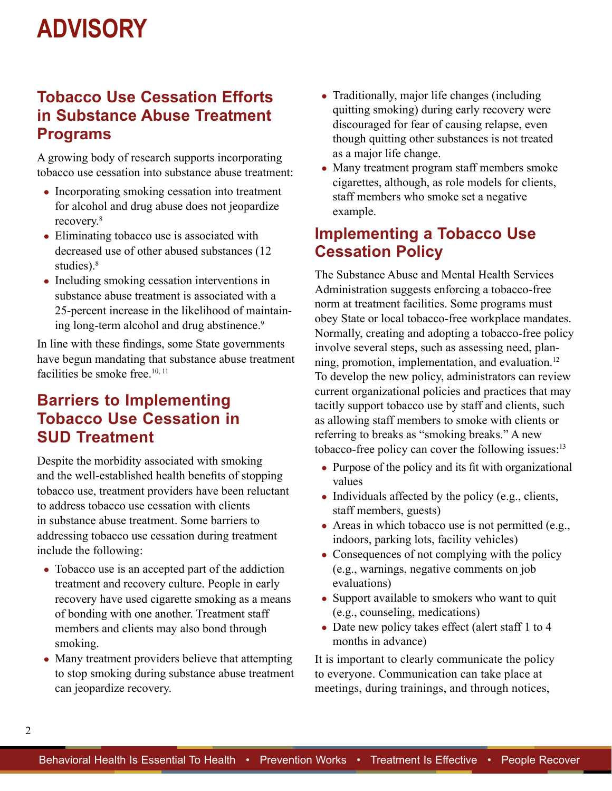## **ADVISORY**

### **Tobacco Use Cessation Efforts in Substance Abuse Treatment Programs**

A growing body of research supports incorporating tobacco use cessation into substance abuse treatment:

- Incorporating smoking cessation into treatment for alcohol and drug abuse does not jeopardize recovery.8
- Eliminating tobacco use is associated with decreased use of other abused substances (12 studies).<sup>8</sup>
- Including smoking cessation interventions in substance abuse treatment is associated with a 25-percent increase in the likelihood of maintaining long-term alcohol and drug abstinence.<sup>9</sup>

In line with these findings, some State governments have begun mandating that substance abuse treatment facilities be smoke free. $10, 11$ 

## **Barriers to Implementing Tobacco Use Cessation in SUD Treatment**

Despite the morbidity associated with smoking and the well-established health benefits of stopping tobacco use, treatment providers have been reluctant to address tobacco use cessation with clients in substance abuse treatment. Some barriers to addressing tobacco use cessation during treatment include the following:

- Tobacco use is an accepted part of the addiction treatment and recovery culture. People in early recovery have used cigarette smoking as a means of bonding with one another. Treatment staff members and clients may also bond through smoking.
- Many treatment providers believe that attempting to stop smoking during substance abuse treatment can jeopardize recovery.
- Traditionally, major life changes (including quitting smoking) during early recovery were discouraged for fear of causing relapse, even though quitting other substances is not treated as a major life change.
- Many treatment program staff members smoke cigarettes, although, as role models for clients, staff members who smoke set a negative example.

## **Implementing a Tobacco Use Cessation Policy**

The Substance Abuse and Mental Health Services Administration suggests enforcing a tobacco-free norm at treatment facilities. Some programs must obey State or local tobacco-free workplace mandates. Normally, creating and adopting a tobacco-free policy involve several steps, such as assessing need, planning, promotion, implementation, and evaluation.<sup>12</sup> To develop the new policy, administrators can review current organizational policies and practices that may tacitly support tobacco use by staff and clients, such as allowing staff members to smoke with clients or referring to breaks as "smoking breaks." A new tobacco-free policy can cover the following issues:<sup>13</sup>

- Purpose of the policy and its fit with organizational values
- Individuals affected by the policy (e.g., clients, staff members, guests)
- $\bullet$  Areas in which tobacco use is not permitted (e.g., indoors, parking lots, facility vehicles)
- Consequences of not complying with the policy (e.g., warnings, negative comments on job evaluations)
- Support available to smokers who want to quit (e.g., counseling, medications)
- Date new policy takes effect (alert staff 1 to 4 months in advance)

It is important to clearly communicate the policy to everyone. Communication can take place at meetings, during trainings, and through notices,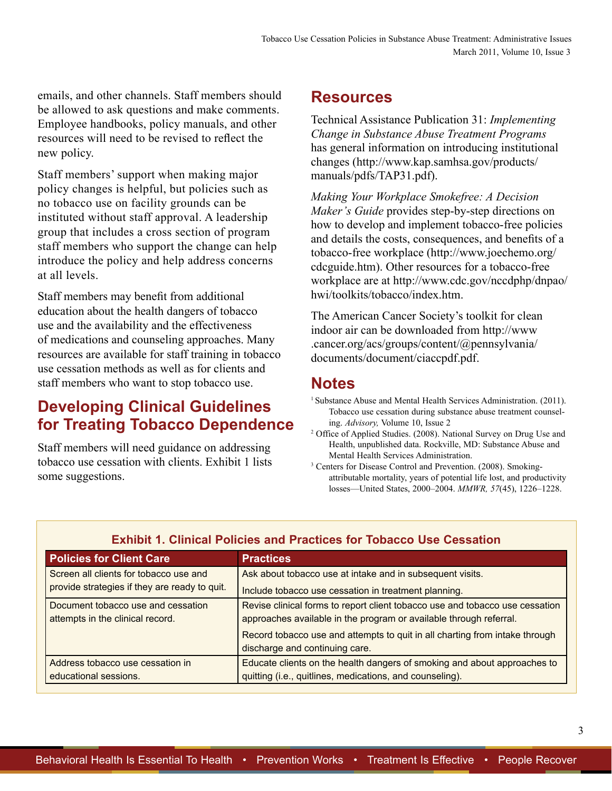emails, and other channels. Staff members should be allowed to ask questions and make comments. Employee handbooks, policy manuals, and other resources will need to be revised to reflect the new policy.

Staff members' support when making major policy changes is helpful, but policies such as no tobacco use on facility grounds can be instituted without staff approval. A leadership group that includes a cross section of program staff members who support the change can help introduce the policy and help address concerns at all levels.

Staff members may benefit from additional education about the health dangers of tobacco use and the availability and the effectiveness of medications and counseling approaches. Many resources are available for staff training in tobacco use cessation methods as well as for clients and staff members who want to stop tobacco use.

## **Developing Clinical Guidelines for Treating Tobacco Dependence**

Staff members will need guidance on addressing tobacco use cessation with clients. Exhibit 1 lists some suggestions.

#### **Resources**

Technical Assistance Publication 31: *Implementing Change in Substance Abuse Treatment Programs*  has general information on introducing institutional changes (http://www.kap.samhsa.gov/products/ manuals/pdfs/TAP31.pdf).

*Making Your Workplace Smokefree: A Decision Maker's Guide* provides step-by-step directions on how to develop and implement tobacco-free policies and details the costs, consequences, and benefits of a tobacco-free workplace (http://www.joechemo.org/ cdcguide.htm). Other resources for a tobacco-free [workplace are at http://www.cdc.gov/nccdphp/dnpao/](http://www.cdc.gov/nccdphp/dnpao/hwi/toolkits/tobacco/index.htm)  hwi/toolkits/tobacco/index.htm.

The American Cancer Society's toolkit for clean [indoor air can be downloaded from http://www](http://www.cancer.org/acs/groups/content/@pennsylvania/documents/document/ciaccpdf.pdf)  .cancer.org/acs/groups/content/@pennsylvania/ documents/document/ciaccpdf.pdf.

#### **Notes**

- <sup>1</sup> Substance Abuse and Mental Health Services Administration. (2011). Tobacco use cessation during substance abuse treatment counseling. *Advisory,* Volume 10, Issue 2
- <sup>2</sup> Office of Applied Studies. (2008). National Survey on Drug Use and Health, unpublished data. Rockville, MD: Substance Abuse and Mental Health Services Administration.<br><sup>3</sup> Centers for Disease Control and Prevention. (2008). Smoking-
- attributable mortality, years of potential life lost, and productivity losses—United States, 2000–2004. *MMWR, 57*(45), 1226–1228.

| <b>Policies for Client Care</b>                                        | <b>Practices</b>                                                                                                                                   |
|------------------------------------------------------------------------|----------------------------------------------------------------------------------------------------------------------------------------------------|
| Screen all clients for tobacco use and                                 | Ask about tobacco use at intake and in subsequent visits.                                                                                          |
| provide strategies if they are ready to quit.                          | Include tobacco use cessation in treatment planning.                                                                                               |
| Document tobacco use and cessation<br>attempts in the clinical record. | Revise clinical forms to report client tobacco use and tobacco use cessation<br>approaches available in the program or available through referral. |
|                                                                        | Record tobacco use and attempts to quit in all charting from intake through<br>discharge and continuing care.                                      |
| Address tobacco use cessation in                                       | Educate clients on the health dangers of smoking and about approaches to                                                                           |
| educational sessions.                                                  | quitting (i.e., quitlines, medications, and counseling).                                                                                           |

#### **Exhibit 1. Clinical Policies and Practices for Tobacco Use Cessation**